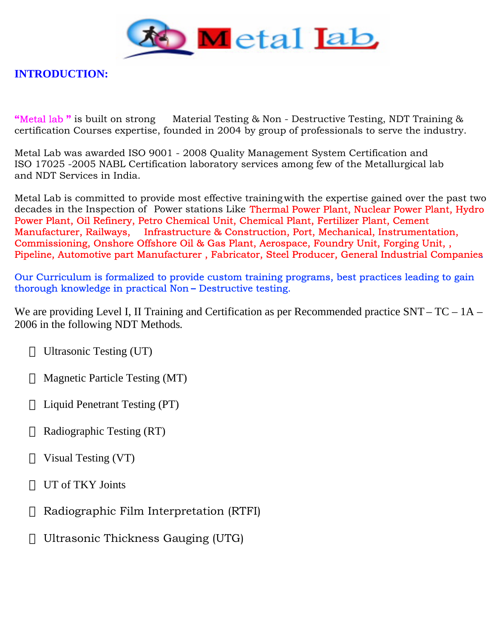

**INTRODUCTION:**

**"**Metal lab **"** is built on strong Material Testing & Non - Destructive Testing, NDT Training & certification Courses expertise, founded in 2004 by group of professionals to serve the industry.

Metal Lab was awarded ISO 9001 - 2008 Quality Management System Certification and ISO 17025 -2005 NABL Certification laboratory services among few of the Metallurgical lab and NDT Services in India.

Metal Lab is committed to provide most effective training with the expertise gained over the past two decades in the Inspection of Power stations Like Thermal Power Plant, Nuclear Power Plant, Hydro Power Plant, Oil Refinery, Petro Chemical Unit, Chemical Plant, Fertilizer Plant, Cement Manufacturer, Railways, Infrastructure & Construction, Port, Mechanical, Instrumentation, Commissioning, Onshore Offshore Oil & Gas Plant, Aerospace, Foundry Unit, Forging Unit, , Pipeline, Automotive part Manufacturer , Fabricator, Steel Producer, General Industrial Companies.

Our Curriculum is formalized to provide custom training programs, best practices leading to gain thorough knowledge in practical Non **–** Destructive testing.

We are providing Level I, II Training and Certification as per Recommended practice SNT – TC – 1A – 2006 in the following NDT Methods.

Ultrasonic Testing (UT)

Magnetic Particle Testing (MT)

Liquid Penetrant Testing (PT)

Radiographic Testing (RT)

Visual Testing (VT)

UT of TKY Joints

Radiographic Film Interpretation (RTFI)

Ultrasonic Thickness Gauging (UTG)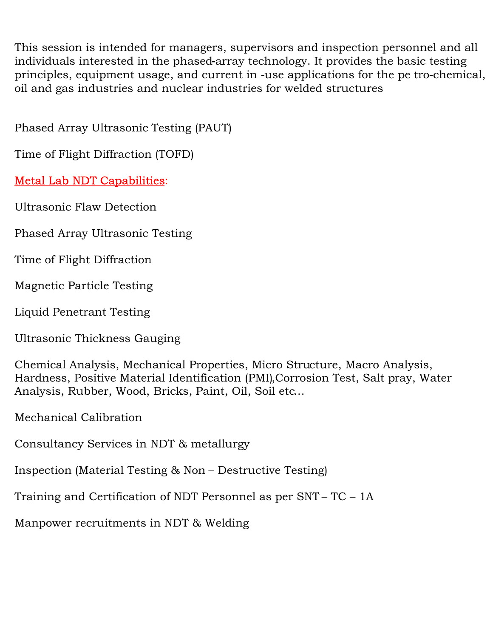This session is intended for managers, supervisors and inspection personnel and all individuals interested in the phased‐array technology. It provides the basic testing principles, equipment usage, and current in ‐use applications for the pe tro‐chemical, oil and gas industries and nuclear industries for welded structures

Phased Array Ultrasonic Testing (PAUT)

Time of Flight Diffraction (TOFD)

# Metal Lab NDT Capabilities:

Ultrasonic Flaw Detection

Phased Array Ultrasonic Testing

Time of Flight Diffraction

Magnetic Particle Testing

Liquid Penetrant Testing

Ultrasonic Thickness Gauging

Chemical Analysis, Mechanical Properties, Micro Structure, Macro Analysis, Hardness, Positive Material Identification (PMI),Corrosion Test, Salt pray, Water Analysis, Rubber, Wood, Bricks, Paint, Oil, Soil etc…

Mechanical Calibration

Consultancy Services in NDT & metallurgy

Inspection (Material Testing & Non – Destructive Testing)

Training and Certification of NDT Personnel as per SNT – TC – 1A

Manpower recruitments in NDT & Welding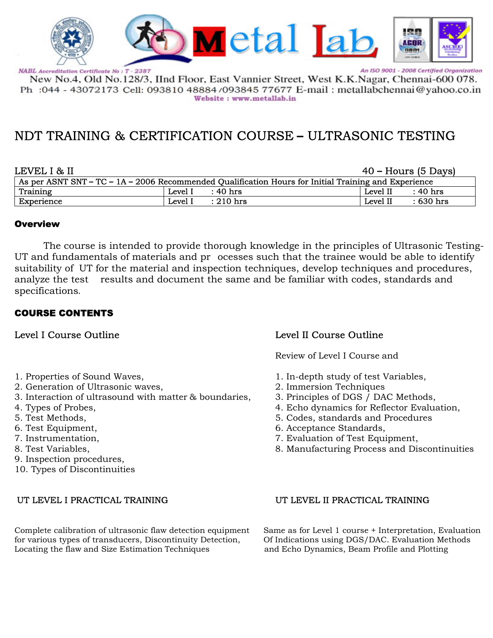

New No.4, Old No.128/3, IInd Floor, East Vannier Street, West K.K.Nagar, Chennai-600 078. Ph :044 - 43072173 Cell: 093810 48884/093845 77677 E-mail : metallabchennai@yahoo.co.in Website: www.metallab.in

# NDT TRAINING & CERTIFICATION COURSE **–** ULTRASONIC TESTING

| LEVEL I & II |         |                                                                                                        |          | 40 – Hours (5 Days) |
|--------------|---------|--------------------------------------------------------------------------------------------------------|----------|---------------------|
|              |         | As per ASNT SNT – TC – $1A - 2006$ Recommended Qualification Hours for Initial Training and Experience |          |                     |
| Training     | Level I | :40 hrs                                                                                                | Level II | : 40 hrs            |
| Experience   | Level I | $: 210$ hrs                                                                                            | Level II | : 630 hrs           |

### Overview

The course is intended to provide thorough knowledge in the principles of Ultrasonic Testing-UT and fundamentals of materials and pr ocesses such that the trainee would be able to identify suitability of UT for the material and inspection techniques, develop techniques and procedures, analyze the test results and document the same and be familiar with codes, standards and specifications.

### COURSE CONTENTS

- 
- 2. Generation of Ultrasonic waves,
- 3. Interaction of ultrasound with matter & boundaries, 3. Principles of DGS / DAC Methods,
- 
- 
- 
- 
- 
- 9. Inspection procedures,
- 10. Types of Discontinuities

Complete calibration of ultrasonic flaw detection equipment Same as for Level 1 course + Interpretation, Evaluation for various types of transducers, Discontinuity Detection, Of Indications using DGS/DAC. Evaluation Methods Locating the flaw and Size Estimation Techniques and Echo Dynamics, Beam Profile and Plotting

### Level I Course Outline Level II Course Outline

Review of Level I Course and

- 1. Properties of Sound Waves,<br>
2. Generation of Ultrasonic waves,<br>
2. Immersion Techniques
	-
	-
- 4. Types of Probes, 4. Echo dynamics for Reflector Evaluation,
- 5. Test Methods, 5. Codes, standards and Procedures
- 6. Test Equipment, 6. Acceptance Standards,
- 7. Instrumentation, 7. Evaluation of Test Equipment,
- 8. Test Variables, 8. Manufacturing Process and Discontinuities

### UT LEVEL I PRACTICAL TRAINING UT LEVEL II PRACTICAL TRAINING

An ISO 9001 - 2008 Certified Organization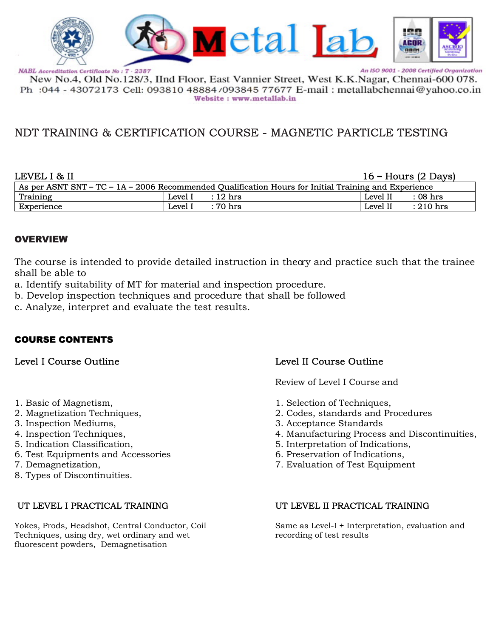

New No.4, Old No.128/3, IInd Floor, East Vannier Street, West K.K.Nagar, Chennai-600 078. Ph : 044 - 43072173 Cell: 093810 48884/093845 77677 E-mail : metallabchennai@yahoo.co.in Website: www.metallab.in

# NDT TRAINING & CERTIFICATION COURSE - MAGNETIC PARTICLE TESTING

| LEVEL I & II<br>$16 -$ Hours (2 Days) |         |                                                                                                        |          |                     |
|---------------------------------------|---------|--------------------------------------------------------------------------------------------------------|----------|---------------------|
|                                       |         | As per ASNT SNT – TC – $1A - 2006$ Recommended Qualification Hours for Initial Training and Experience |          |                     |
| Training                              | Level I | $: 12 \text{ hrs}$                                                                                     | Level II | $\therefore$ 08 hrs |
| Experience                            | Level I | : 70 hrs                                                                                               | Level II | $: 210$ hrs         |

### **OVERVIEW**

The course is intended to provide detailed instruction in theory and practice such that the trainee shall be able to

a. Identify suitability of MT for material and inspection procedure.

- b. Develop inspection techniques and procedure that shall be followed
- c. Analyze, interpret and evaluate the test results.

## COURSE CONTENTS

- 
- 
- 
- 
- 
- 6. Test Equipments and Accessories 6. Preservation of Indications,
- 
- 8. Types of Discontinuities.

Yokes, Prods, Headshot, Central Conductor, Coil Same as Level-I + Interpretation, evaluation and Techniques, using dry, wet ordinary and wet recording of test results fluorescent powders, Demagnetisation

## Level I Course Outline Level II Course Outline

Review of Level I Course and

- 1. Basic of Magnetism,  $\qquad \qquad$  1. Selection of Techniques,
- 2. Magnetization Techniques, 2. Codes, standards and Procedures
- 3. Inspection Mediums, 2. Acceptance Standards<br>4. Inspection Techniques, 2. Acceptance Standards<br>4. Manufacturing Process
- 4. Inspection Techniques, 2008 1. Manufacturing Process and Discontinuities, 2. Indication Classification.
	- 5. Interpretation of Indications,
	-
- 7. Demagnetization, 7. Evaluation of Test Equipment

### UT LEVEL I PRACTICAL TRAINING UT LEVEL II PRACTICAL TRAINING

An ISO 9001 - 2008 Certified Organization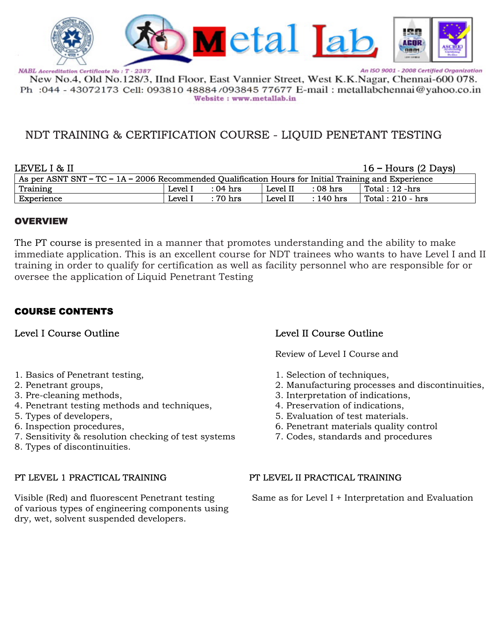

An ISO 9001 - 2008 Certified Organization

New No.4, Old No.128/3, IInd Floor, East Vannier Street, West K.K.Nagar, Chennai-600 078. Ph : 044 - 43072173 Cell: 093810 48884/093845 77677 E-mail : metallabchennai@yahoo.co.in Website: www.metallab.in

# NDT TRAINING & CERTIFICATION COURSE - LIQUID PENETANT TESTING

| LEVEL I & II                                                                                           |         |          |          |             | $16 -$ Hours (2 Days) |
|--------------------------------------------------------------------------------------------------------|---------|----------|----------|-------------|-----------------------|
| As per ASNT SNT – TC – $1A - 2006$ Recommended Qualification Hours for Initial Training and Experience |         |          |          |             |                       |
| Training                                                                                               | Level I | : 04 hrs | Level II | $:08$ hrs   | Total : 12 -hrs       |
| Experience                                                                                             | Level I | : 70 hrs | Level II | $: 140$ hrs | Total: $210 - hrs$    |

### OVERVIEW

The PT course is presented in a manner that promotes understanding and the ability to make immediate application. This is an excellent course for NDT trainees who wants to have Level I and II training in order to qualify for certification as well as facility personnel who are responsible for or oversee the application of Liquid Penetrant Testing

## COURSE CONTENTS

- 1. Basics of Penetrant testing, 1. Selection of techniques,
- 
- 
- 4. Penetrant testing methods and techniques,
- 
- 
- 7. Sensitivity & resolution checking of test systems 7. Codes, standards and procedures
- 8. Types of discontinuities.

of various types of engineering components using dry, wet, solvent suspended developers.

## Level I Course Outline Level II Course Outline

Review of Level I Course and

- 
- 2. Penetrant groups,<br>
2. Manufacturing processes and discontinuities,<br>
3. Pre-cleaning methods,<br>
2. Interpretation of indications,
	- 3. Interpretation of indications, 4. Preservation of indications.
	-
- 5. Types of developers, 5. Evaluation of test materials.
- 6. Inspection procedures, 6. Penetrant materials quality control
	-

### PT LEVEL 1 PRACTICAL TRAINING PT LEVEL II PRACTICAL TRAINING

Visible (Red) and fluorescent Penetrant testing Same as for Level I + Interpretation and Evaluation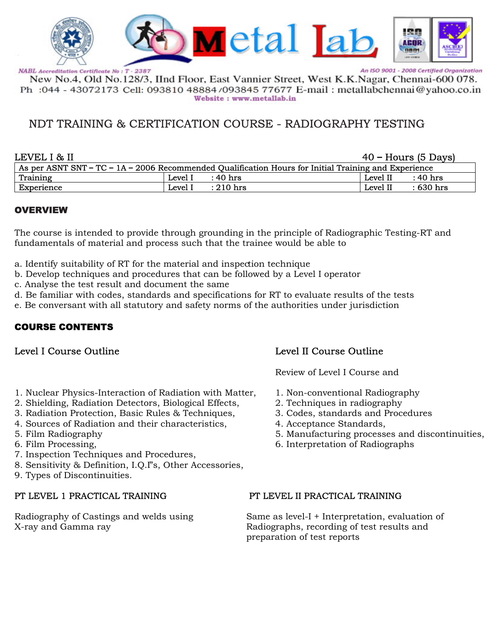

An ISO 9001 - 2008 Certified Organization

New No.4, Old No.128/3, IInd Floor, East Vannier Street, West K.K.Nagar, Chennai-600 078. Ph : 044 - 43072173 Cell: 093810 48884/093845 77677 E-mail : metallabchennai@yahoo.co.in Website: www.metallab.in

# NDT TRAINING & CERTIFICATION COURSE - RADIOGRAPHY TESTING

| $40$ – Hours (5 Days)<br>LEVEL I & II |         |                                                                                                        |          |            |
|---------------------------------------|---------|--------------------------------------------------------------------------------------------------------|----------|------------|
|                                       |         | As per ASNT SNT – TC – $1A - 2006$ Recommended Qualification Hours for Initial Training and Experience |          |            |
| Training                              | Level I | : 40 hrs                                                                                               | Level II | : 40 hrs   |
| Experience                            | Level I | $: 210$ hrs                                                                                            | Level II | $:630$ hrs |

### OVERVIEW

The course is intended to provide through grounding in the principle of Radiographic Testing-RT and fundamentals of material and process such that the trainee would be able to

- a. Identify suitability of RT for the material and inspection technique
- b. Develop techniques and procedures that can be followed by a Level I operator
- c. Analyse the test result and document the same
- d. Be familiar with codes, standards and specifications for RT to evaluate results of the tests
- e. Be conversant with all statutory and safety norms of the authorities under jurisdiction

## COURSE CONTENTS

- 1. Nuclear Physics-Interaction of Radiation with Matter, 1. Non-conventional Radiography
- 2. Shielding, Radiation Detectors, Biological Effects, 2. Techniques in radiography<br>3. Radiation Protection. Basic Rules & Techniques. 3. Codes. standards and Procedures
- 3. Radiation Protection, Basic Rules & Techniques,
- 4. Sources of Radiation and their characteristics,  $\qquad 4.$  Acceptance Standards,
- 
- 
- 7. Inspection Techniques and Procedures,
- 8. Sensitivity & Definition, I.Q.I"s, Other Accessories,
- 9. Types of Discontinuities.

## Level I Course Outline Level II Course Outline

Review of Level I Course and

- 
- 
- 
- 
- 5. Film Radiography 5. Manufacturing processes and discontinuities,
	- 6. Interpretation of Radiographs

### PT LEVEL 1 PRACTICAL TRAINING PT LEVEL II PRACTICAL TRAINING

Radiography of Castings and welds using Same as level-I + Interpretation, evaluation of X-ray and Gamma ray **Radiographs**, recording of test results and preparation of test reports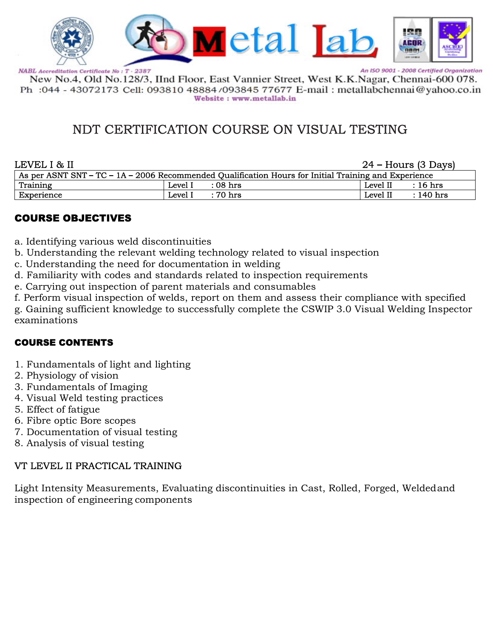

An ISO 9001 - 2008 Certified Organization

New No.4, Old No.128/3, IInd Floor, East Vannier Street, West K.K.Nagar, Chennai-600 078. Ph : 044 - 43072173 Cell: 093810 48884/093845 77677 E-mail : metallabchennai@yahoo.co.in Website: www.metallab.in

# NDT CERTIFICATION COURSE ON VISUAL TESTING

| LEVEL I & II |         |                                                                                                        |          | $24$ – Hours (3 Days) |
|--------------|---------|--------------------------------------------------------------------------------------------------------|----------|-----------------------|
|              |         | As per ASNT SNT – TC – $1A - 2006$ Recommended Qualification Hours for Initial Training and Experience |          |                       |
| Training     | Level I | $:08~\mathrm{hrs}$                                                                                     | Level II | $\therefore$ 16 hrs   |
| Experience   | Level I | $\,$ : 70 hrs                                                                                          | Level II | $: 140$ hrs           |

# COURSE OBJECTIVES

- a. Identifying various weld discontinuities
- b. Understanding the relevant welding technology related to visual inspection
- c. Understanding the need for documentation in welding
- d. Familiarity with codes and standards related to inspection requirements
- e. Carrying out inspection of parent materials and consumables

f. Perform visual inspection of welds, report on them and assess their compliance with specified

g. Gaining sufficient knowledge to successfully complete the CSWIP 3.0 Visual Welding Inspector examinations

# COURSE CONTENTS

- 1. Fundamentals of light and lighting
- 2. Physiology of vision
- 3. Fundamentals of Imaging
- 4. Visual Weld testing practices
- 5. Effect of fatigue
- 6. Fibre optic Bore scopes
- 7. Documentation of visual testing
- 8. Analysis of visual testing

## VT LEVEL II PRACTICAL TRAINING

Light Intensity Measurements, Evaluating discontinuities in Cast, Rolled, Forged, Weldedand inspection of engineering components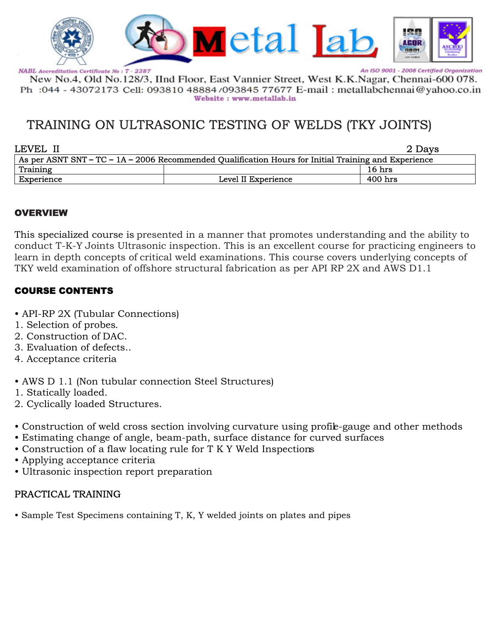

An ISO 9001 - 2008 Certified Organization

New No.4, Old No.128/3, IInd Floor, East Vannier Street, West K.K.Nagar, Chennai-600 078. Ph :044 - 43072173 Cell: 093810 48884/093845 77677 E-mail : metallabchennai@yahoo.co.in Website: www.metallab.in

# TRAINING ON ULTRASONIC TESTING OF WELDS (TKY JOINTS)

| LEVEL II   |                                                                                                        | 2 Days  |
|------------|--------------------------------------------------------------------------------------------------------|---------|
|            | As per ASNT SNT – TC – $1A - 2006$ Recommended Qualification Hours for Initial Training and Experience |         |
| Training   |                                                                                                        | 16 hrs  |
| Experience | Level II Experience                                                                                    | 400 hrs |

### OVERVIEW

This specialized course is presented in a manner that promotes understanding and the ability to conduct T-K-Y Joints Ultrasonic inspection. This is an excellent course for practicing engineers to learn in depth concepts of critical weld examinations. This course covers underlying concepts of TKY weld examination of offshore structural fabrication as per API RP 2X and AWS D1.1

## COURSE CONTENTS

- API-RP 2X (Tubular Connections)
- 1. Selection of probes.
- 2. Construction of DAC.
- 3. Evaluation of defects..
- 4. Acceptance criteria
- AWS D 1.1 (Non tubular connection Steel Structures)
- 1. Statically loaded.
- 2. Cyclically loaded Structures.
- Construction of weld cross section involving curvature using profile-gauge and other methods
- Estimating change of angle, beam-path, surface distance for curved surfaces
- Construction of a flaw locating rule for T K Y Weld Inspections
- Applying acceptance criteria
- Ultrasonic inspection report preparation

## PRACTICAL TRAINING

• Sample Test Specimens containing T, K, Y welded joints on plates and pipes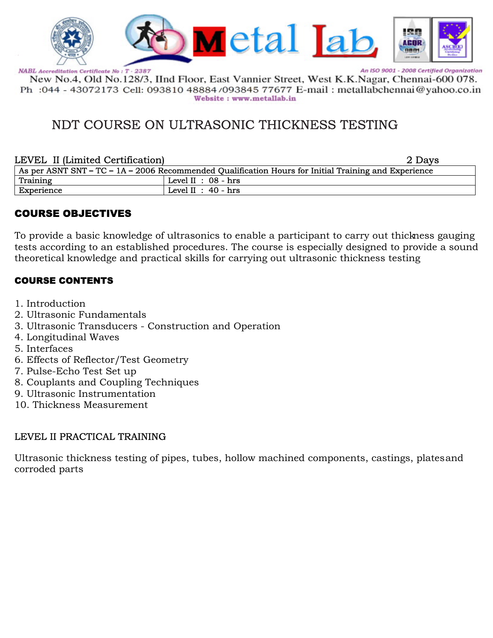

An ISO 9001 - 2008 Certified Organization

New No.4, Old No.128/3, IInd Floor, East Vannier Street, West K.K.Nagar, Chennai-600 078. Ph : 044 - 43072173 Cell: 093810 48884/093845 77677 E-mail : metallabchennai@yahoo.co.in Website: www.metallab.in

# NDT COURSE ON ULTRASONIC THICKNESS TESTING

### LEVEL II (Limited Certification)

|  | 2 Days |
|--|--------|
|  |        |

| As per ASNT SNT – TC – 1A – 2006 Recommended Qualification Hours for Initial Training and Experience |                       |  |  |  |
|------------------------------------------------------------------------------------------------------|-----------------------|--|--|--|
| Training                                                                                             | Level II : $08 - hrs$ |  |  |  |
| Experience                                                                                           | Level II : $40 - hrs$ |  |  |  |

# COURSE OBJECTIVES

To provide a basic knowledge of ultrasonics to enable a participant to carry out thickness gauging tests according to an established procedures. The course is especially designed to provide a sound theoretical knowledge and practical skills for carrying out ultrasonic thickness testing

## COURSE CONTENTS

- 1. Introduction
- 2. Ultrasonic Fundamentals
- 3. Ultrasonic Transducers Construction and Operation
- 4. Longitudinal Waves
- 5. Interfaces
- 6. Effects of Reflector/Test Geometry
- 7. Pulse-Echo Test Set up
- 8. Couplants and Coupling Techniques
- 9. Ultrasonic Instrumentation
- 10. Thickness Measurement

## LEVEL II PRACTICAL TRAINING

Ultrasonic thickness testing of pipes, tubes, hollow machined components, castings, plates and corroded parts